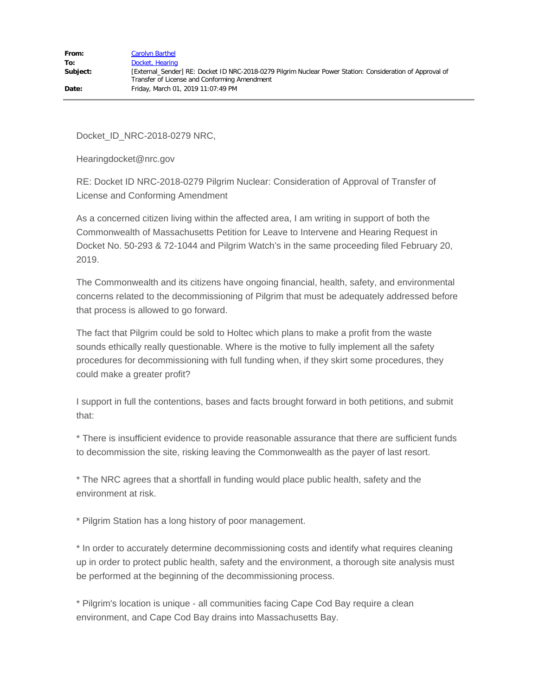Docket\_ID\_NRC-2018-0279 NRC,

Hearingdocket@nrc.gov

RE: Docket ID NRC-2018-0279 Pilgrim Nuclear: Consideration of Approval of Transfer of License and Conforming Amendment

As a concerned citizen living within the affected area, I am writing in support of both the Commonwealth of Massachusetts Petition for Leave to Intervene and Hearing Request in Docket No. 50-293 & 72-1044 and Pilgrim Watch's in the same proceeding filed February 20, 2019.

The Commonwealth and its citizens have ongoing financial, health, safety, and environmental concerns related to the decommissioning of Pilgrim that must be adequately addressed before that process is allowed to go forward.

The fact that Pilgrim could be sold to Holtec which plans to make a profit from the waste sounds ethically really questionable. Where is the motive to fully implement all the safety procedures for decommissioning with full funding when, if they skirt some procedures, they could make a greater profit?

I support in full the contentions, bases and facts brought forward in both petitions, and submit that:

\* There is insufficient evidence to provide reasonable assurance that there are sufficient funds to decommission the site, risking leaving the Commonwealth as the payer of last resort.

\* The NRC agrees that a shortfall in funding would place public health, safety and the environment at risk.

\* Pilgrim Station has a long history of poor management.

\* In order to accurately determine decommissioning costs and identify what requires cleaning up in order to protect public health, safety and the environment, a thorough site analysis must be performed at the beginning of the decommissioning process.

\* Pilgrim's location is unique - all communities facing Cape Cod Bay require a clean environment, and Cape Cod Bay drains into Massachusetts Bay.